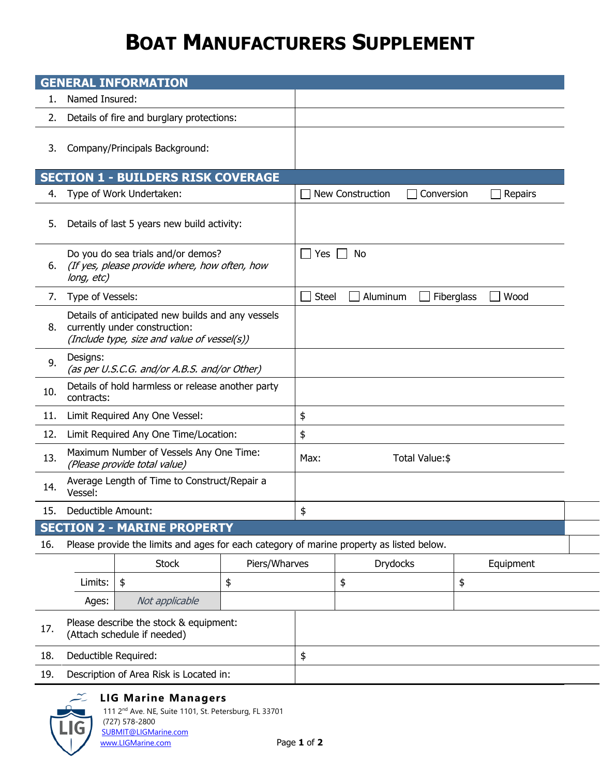## **BOAT MANUFACTURERS SUPPLEMENT**

|                                    | <b>GENERAL INFORMATION</b>                                                                                                        |                                                                                          |               |                                                |                  |            |    |           |  |
|------------------------------------|-----------------------------------------------------------------------------------------------------------------------------------|------------------------------------------------------------------------------------------|---------------|------------------------------------------------|------------------|------------|----|-----------|--|
| 1.                                 | Named Insured:                                                                                                                    |                                                                                          |               |                                                |                  |            |    |           |  |
| 2.                                 | Details of fire and burglary protections:                                                                                         |                                                                                          |               |                                                |                  |            |    |           |  |
| 3.                                 | Company/Principals Background:                                                                                                    |                                                                                          |               |                                                |                  |            |    |           |  |
|                                    |                                                                                                                                   | <b>SECTION 1 - BUILDERS RISK COVERAGE</b>                                                |               |                                                |                  |            |    |           |  |
| 4.                                 | Type of Work Undertaken:                                                                                                          |                                                                                          |               |                                                | New Construction | Conversion |    | Repairs   |  |
| 5.                                 | Details of last 5 years new build activity:                                                                                       |                                                                                          |               |                                                |                  |            |    |           |  |
| 6.                                 | Do you do sea trials and/or demos?<br>(If yes, please provide where, how often, how<br>long, etc)                                 |                                                                                          |               | No<br>Yes                                      |                  |            |    |           |  |
| 7.                                 | Type of Vessels:                                                                                                                  |                                                                                          |               | Wood<br><b>Steel</b><br>Aluminum<br>Fiberglass |                  |            |    |           |  |
| 8.                                 | Details of anticipated new builds and any vessels<br>currently under construction:<br>(Include type, size and value of vessel(s)) |                                                                                          |               |                                                |                  |            |    |           |  |
| 9.                                 | Designs:<br>(as per U.S.C.G. and/or A.B.S. and/or Other)                                                                          |                                                                                          |               |                                                |                  |            |    |           |  |
| 10.                                | Details of hold harmless or release another party<br>contracts:                                                                   |                                                                                          |               |                                                |                  |            |    |           |  |
| 11.                                | Limit Required Any One Vessel:                                                                                                    |                                                                                          |               | \$                                             |                  |            |    |           |  |
| 12.                                | Limit Required Any One Time/Location:                                                                                             |                                                                                          |               |                                                | \$               |            |    |           |  |
| 13.                                | Maximum Number of Vessels Any One Time:<br>(Please provide total value)                                                           |                                                                                          |               | Total Value:\$<br>Max:                         |                  |            |    |           |  |
| 14.                                | Average Length of Time to Construct/Repair a<br>Vessel:                                                                           |                                                                                          |               |                                                |                  |            |    |           |  |
| 15.                                | Deductible Amount:                                                                                                                |                                                                                          |               | \$                                             |                  |            |    |           |  |
| <b>SECTION 2 - MARINE PROPERTY</b> |                                                                                                                                   |                                                                                          |               |                                                |                  |            |    |           |  |
| 16.                                |                                                                                                                                   | Please provide the limits and ages for each category of marine property as listed below. |               |                                                |                  |            |    |           |  |
|                                    |                                                                                                                                   | <b>Stock</b>                                                                             | Piers/Wharves |                                                | <b>Drydocks</b>  |            |    | Equipment |  |
|                                    | Limits:                                                                                                                           | \$                                                                                       | \$            |                                                | \$               |            | \$ |           |  |
|                                    | Ages:                                                                                                                             | Not applicable                                                                           |               |                                                |                  |            |    |           |  |
| 17.                                | Please describe the stock & equipment:<br>(Attach schedule if needed)                                                             |                                                                                          |               |                                                |                  |            |    |           |  |
| 18.                                | Deductible Required:                                                                                                              |                                                                                          |               | \$                                             |                  |            |    |           |  |
| 19.                                | Description of Area Risk is Located in:                                                                                           |                                                                                          |               |                                                |                  |            |    |           |  |



## **LIG Marine Managers**

(727) 578-2800